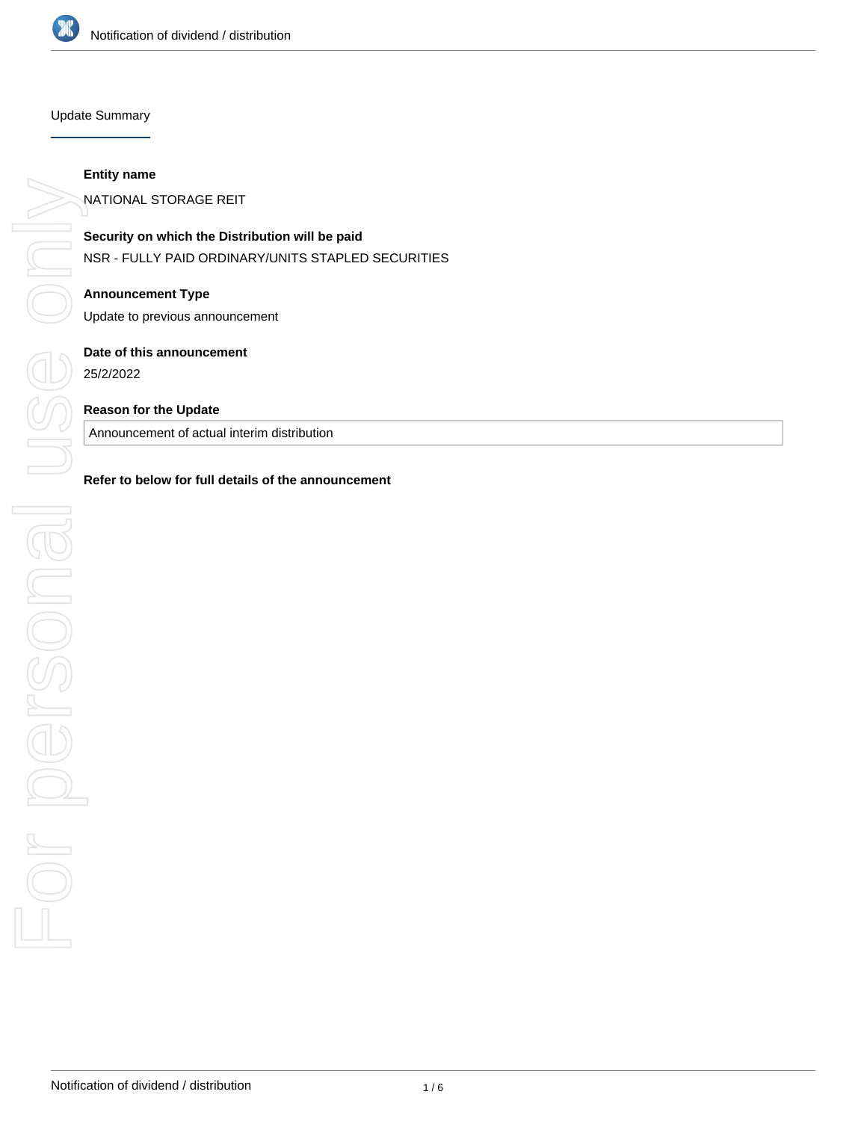

### Update Summary

# **Entity name**

NATIONAL STORAGE REIT

**Security on which the Distribution will be paid** NSR - FULLY PAID ORDINARY/UNITS STAPLED SECURITIES

**Announcement Type** Update to previous announcement

**Date of this announcement**

25/2/2022

# **Reason for the Update**

Announcement of actual interim distribution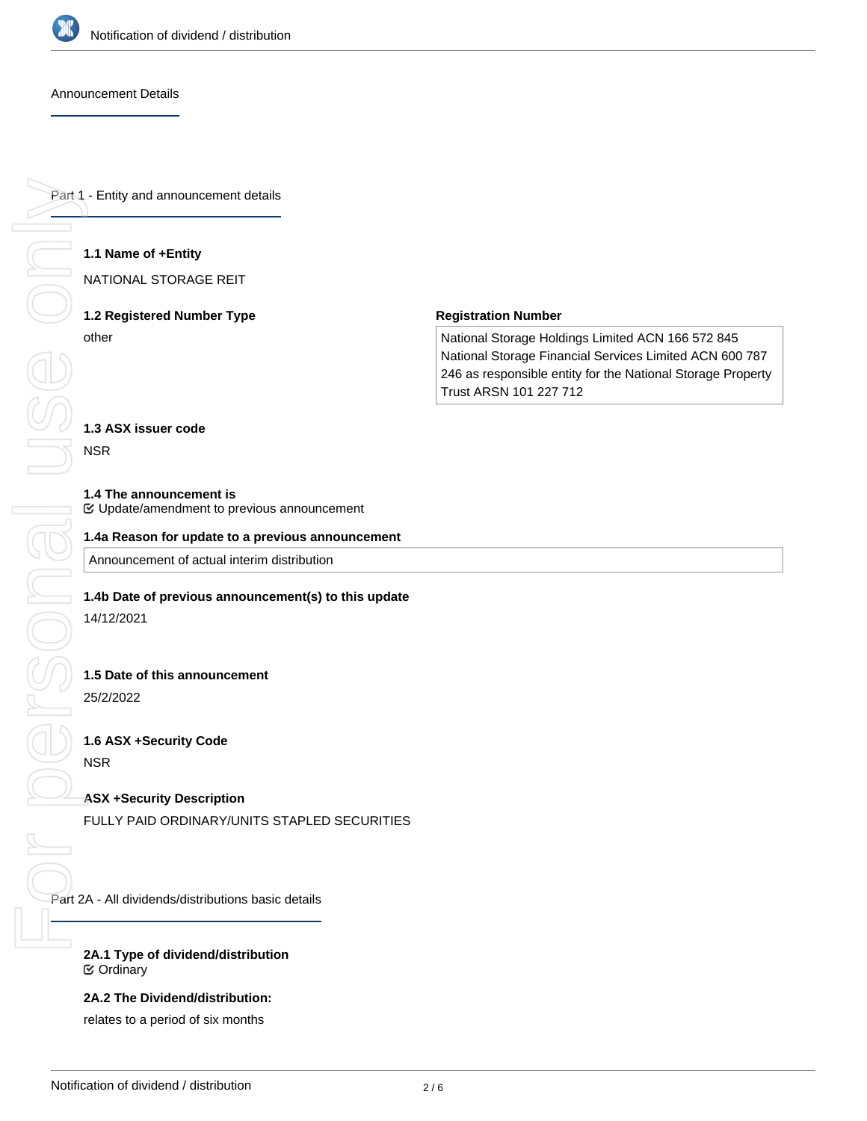

#### Announcement Details

Part 1 - Entity and announcement details

# **1.1 Name of +Entity**

NATIONAL STORAGE REIT

# **1.2 Registered Number Type** other

#### **Registration Number**

National Storage Holdings Limited ACN 166 572 845 National Storage Financial Services Limited ACN 600 787 246 as responsible entity for the National Storage Property Trust ARSN 101 227 712

# **1.3 ASX issuer code**

NSR

#### **1.4 The announcement is**

Update/amendment to previous announcement

### **1.4a Reason for update to a previous announcement**

Announcement of actual interim distribution

#### **1.4b Date of previous announcement(s) to this update**

14/12/2021

#### **1.5 Date of this announcement**

25/2/2022

# **1.6 ASX +Security Code**

NSR

# **ASX +Security Description**

FULLY PAID ORDINARY/UNITS STAPLED SECURITIES

Part 2A - All dividends/distributions basic details

# **2A.1 Type of dividend/distribution** Ordinary

# **2A.2 The Dividend/distribution:**

relates to a period of six months

**2A.3 The dividend/distribution relates to the financial reporting or payment period ending ended/ending (date)**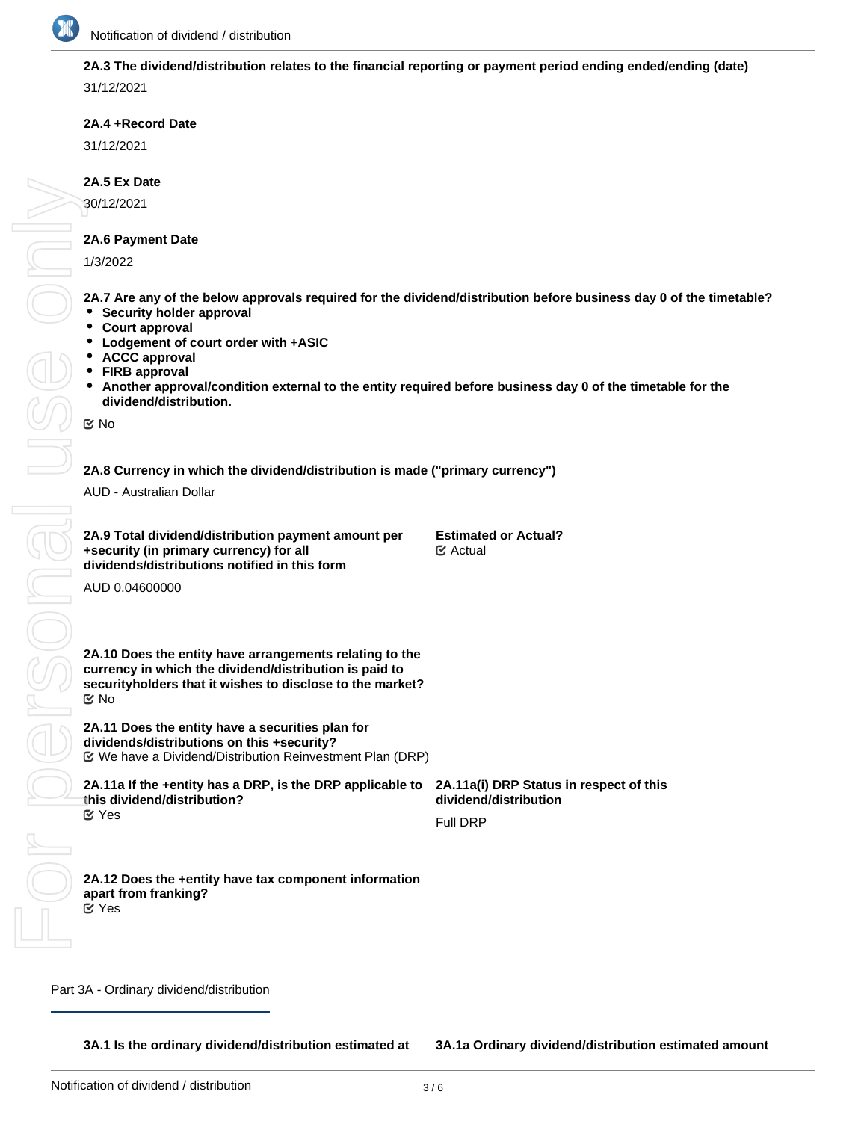

# **2A.3 The dividend/distribution relates to the financial reporting or payment period ending ended/ending (date)**

31/12/2021

# **2A.4 +Record Date**

31/12/2021

# **2A.5 Ex Date**

30/12/2021

# **2A.6 Payment Date**

1/3/2022

**2A.7 Are any of the below approvals required for the dividend/distribution before business day 0 of the timetable?**

- **Security holder approval**
- **Court approval**
- **Lodgement of court order with +ASIC**
- **ACCC approval**
- **FIRB approval**
- **Another approval/condition external to the entity required before business day 0 of the timetable for the dividend/distribution.**

No

no or

AUD - Australian Dollar

| 2A.9 Total dividend/distribution payment amount per | <b>Estimated or Actual?</b> |
|-----------------------------------------------------|-----------------------------|
| +security (in primary currency) for all             | <b>E</b> Actual             |
| dividends/distributions notified in this form       |                             |

AUD 0.04600000

2A.8 Currency in which the dividend/distribution is made ("primary currency")<br>
AUD - Australian Dollar<br>
2A.9 Total dividend/distribution payment amount per<br>
Estimated or Actual<br>
dividends/distributions notified in this for **2A.10 Does the entity have arrangements relating to the currency in which the dividend/distribution is paid to securityholders that it wishes to disclose to the market?** No

> **2A.11 Does the entity have a securities plan for dividends/distributions on this +security?** We have a Dividend/Distribution Reinvestment Plan (DRP)

**2A.11a If the +entity has a DRP, is the DRP applicable to this dividend/distribution? 2A.11a(i) DRP Status in respect of this dividend/distribution** Full DRP Yes For personal use only

#### **2A.12 Does the +entity have tax component information apart from franking?** Yes

Part 3A - Ordinary dividend/distribution

**3A.1 Is the ordinary dividend/distribution estimated at**

**3A.1a Ordinary dividend/distribution estimated amount**

**this time?**

**per +security**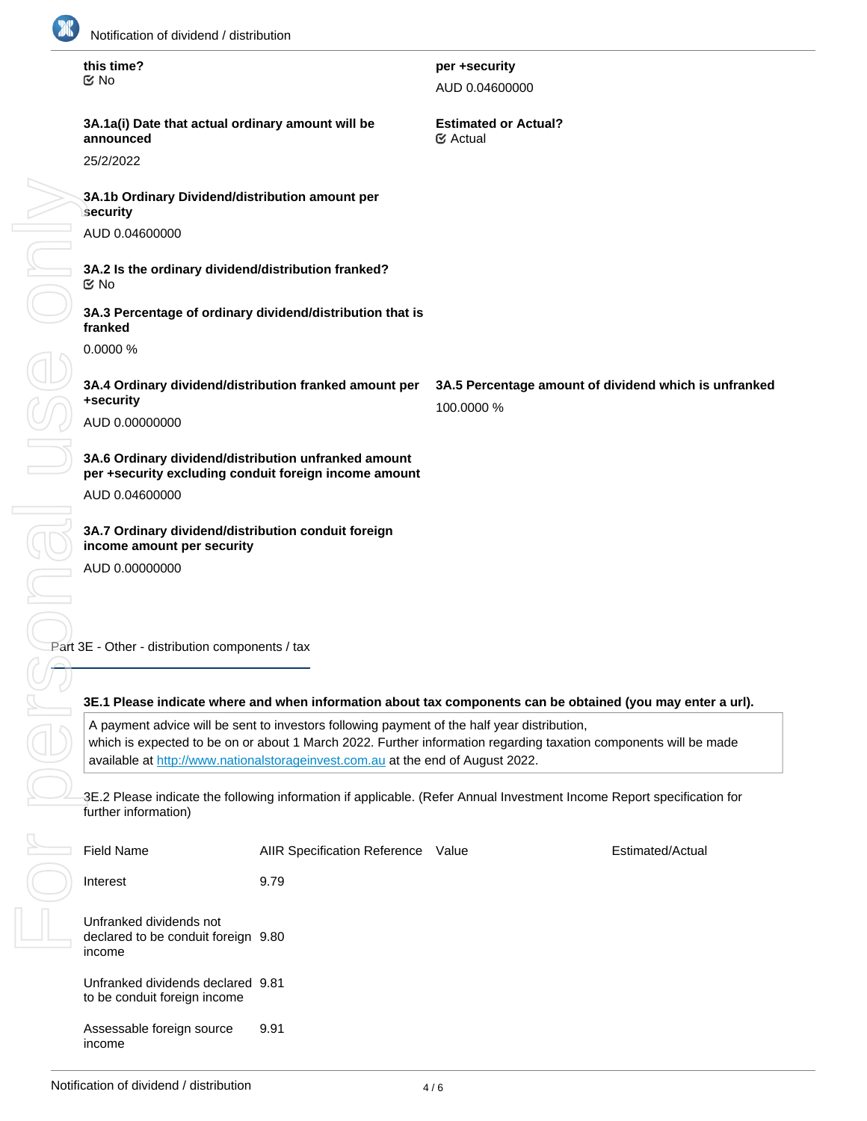

| this time?<br>$\mathfrak{C}$ No                                                                               | per +security<br>AUD 0.04600000                                     |
|---------------------------------------------------------------------------------------------------------------|---------------------------------------------------------------------|
| 3A.1a(i) Date that actual ordinary amount will be<br>announced                                                | <b>Estimated or Actual?</b><br>$\mathfrak{C}$ Actual                |
| 25/2/2022                                                                                                     |                                                                     |
| 3A.1b Ordinary Dividend/distribution amount per<br>$\sf{security}$                                            |                                                                     |
| AUD 0.04600000                                                                                                |                                                                     |
| 3A.2 Is the ordinary dividend/distribution franked?<br>$\mathbb Z$ No                                         |                                                                     |
| 3A.3 Percentage of ordinary dividend/distribution that is<br>franked                                          |                                                                     |
| 0.0000%                                                                                                       |                                                                     |
| 3A.4 Ordinary dividend/distribution franked amount per<br>+security                                           | 3A.5 Percentage amount of dividend which is unfranked<br>100.0000 % |
| AUD 0.00000000                                                                                                |                                                                     |
| 3A.6 Ordinary dividend/distribution unfranked amount<br>per +security excluding conduit foreign income amount |                                                                     |
| AUD 0.04600000                                                                                                |                                                                     |
| 3A.7 Ordinary dividend/distribution conduit foreign<br>income amount per security                             |                                                                     |
| AUD 0.00000000                                                                                                |                                                                     |
|                                                                                                               |                                                                     |

Part 3E - Other - distribution components / tax

# **3E.1 Please indicate where and when information about tax components can be obtained (you may enter a url).**

A payment advice will be sent to investors following payment of the half year distribution, which is expected to be on or about 1 March 2022. Further information regarding taxation components will be made available at <http://www.nationalstorageinvest.com.au> at the end of August 2022.

3E.2 Please indicate the following information if applicable. (Refer Annual Investment Income Report specification for further information)

| <b>Field Name</b>                                                        | <b>AIIR Specification Reference</b> | Value | Estimated/Actual |
|--------------------------------------------------------------------------|-------------------------------------|-------|------------------|
| Interest                                                                 | 9.79                                |       |                  |
| Unfranked dividends not<br>declared to be conduit foreign 9.80<br>income |                                     |       |                  |
| Unfranked dividends declared 9.81<br>to be conduit foreign income        |                                     |       |                  |
| Assessable foreign source<br>income                                      | 9.91                                |       |                  |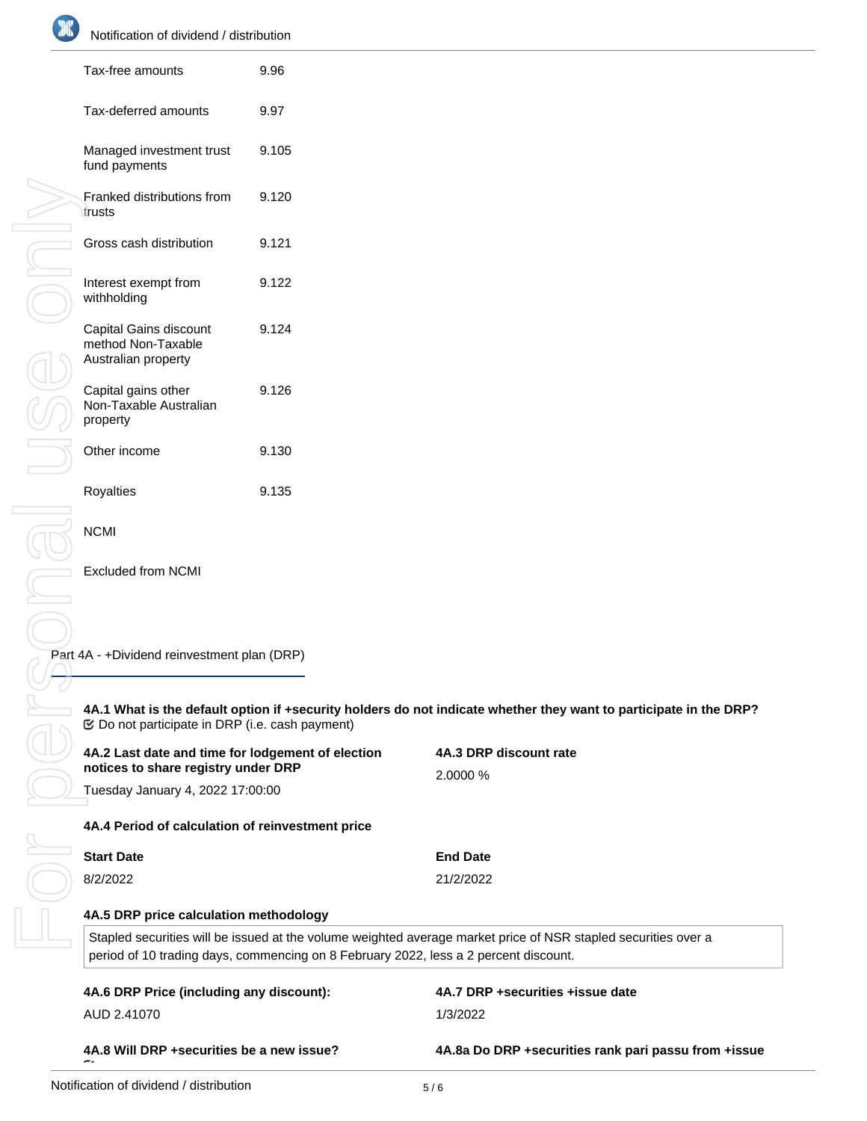| Tax-free amounts                                                                         | 9.96  |                                                                                                                   |
|------------------------------------------------------------------------------------------|-------|-------------------------------------------------------------------------------------------------------------------|
| Tax-deferred amounts                                                                     | 9.97  |                                                                                                                   |
| Managed investment trust<br>fund payments                                                | 9.105 |                                                                                                                   |
| Franked distributions from<br>trusts                                                     | 9.120 |                                                                                                                   |
| Gross cash distribution                                                                  | 9.121 |                                                                                                                   |
| Interest exempt from<br>withholding                                                      | 9.122 |                                                                                                                   |
| Capital Gains discount<br>method Non-Taxable<br>Australian property                      | 9.124 |                                                                                                                   |
| Capital gains other<br>Non-Taxable Australian<br>property                                | 9.126 |                                                                                                                   |
| Other income                                                                             | 9.130 |                                                                                                                   |
| Royalties                                                                                | 9.135 |                                                                                                                   |
| <b>NCMI</b>                                                                              |       |                                                                                                                   |
| <b>Excluded from NCMI</b>                                                                |       |                                                                                                                   |
|                                                                                          |       |                                                                                                                   |
| Part 4A - +Dividend reinvestment plan (DRP)                                              |       |                                                                                                                   |
|                                                                                          |       | 4A.1 What is the default option if +security holders do not indicate whether they want to participate in the DRP? |
| 4A.2 Last date and time for lodgement of election<br>notices to share registry under DRP |       | 4A.3 DRP discount rate                                                                                            |
| Tuesday January 4, 2022 17:00:00                                                         |       | 2.0000 %                                                                                                          |
| 4A.4 Period of calculation of reinvestment price                                         |       |                                                                                                                   |
| <b>Start Date</b>                                                                        |       | <b>End Date</b>                                                                                                   |
| 8/2/2022                                                                                 |       | 21/2/2022                                                                                                         |
|                                                                                          |       |                                                                                                                   |

| <b>Start Date</b> | <b>End Date</b> |
|-------------------|-----------------|
| 8/2/2022          | 21/2/2022       |

# **4A.5 DRP price calculation methodology**

Stapled securities will be issued at the volume weighted average market price of NSR stapled securities over a period of 10 trading days, commencing on 8 February 2022, less a 2 percent discount.

| 4A.6 DRP Price (including any discount):  | 4A.7 DRP +securities +issue date                       |
|-------------------------------------------|--------------------------------------------------------|
| AUD 2.41070                               | 1/3/2022                                               |
| 4A.8 Will DRP +securities be a new issue? | 4A.8a Do DRP + securities rank pari passu from + issue |

**date?**